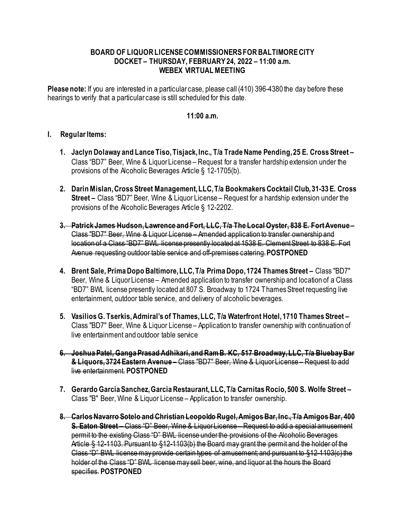## **BOARD OF LIQUOR LICENSE COMMISSIONERS FOR BALTIMORE CITY DOCKET – THURSDAY, FEBRUARY24, 2022 – 11:00 a.m. WEBEX VIRTUAL MEETING**

**Please note:** If you are interested in a particular case, please call (410) 396-4380 the day before these hearings to verify that a particular case is still scheduled for this date.

## **11:00 a.m.**

## **I. Regular Items:**

- **1. Jaclyn Dolaway and Lance Tiso, Tisjack, Inc., T/a Trade Name Pending, 25 E. Cross Street –** Class "BD7" Beer, Wine & Liquor License – Request for a transfer hardship extension under the provisions of the Alcoholic Beverages Article § 12-1705(b).
- **2. Darin Mislan, Cross Street Management, LLC, T/a Bookmakers Cocktail Club, 31-33 E. Cross Street –** Class "BD7" Beer, Wine & Liquor License – Request for a hardship extension under the provisions of the Alcoholic Beverages Article § 12-2202.
- **3. Patrick James Hudson, Lawrence and Fort, LLC, T/a The Local Oyster, 838 E. Fort Avenue –** Class "BD7" Beer, Wine & Liquor License – Amended application to transfer ownership and location of a Class "BD7" BWL license presently located at 1538 E. Clement Street to 838 E. Fort Avenue requesting outdoor table service and off-premises catering.**POSTPONED**
- **4. Brent Sale, Prima Dopo Baltimore, LLC, T/a Prima Dopo, 1724 Thames Street –** Class "BD7" Beer, Wine & Liquor License – Amended application to transfer ownership and location of a Class "BD7" BWL license presently located at 807 S. Broadway to 1724 Thames Street requesting live entertainment, outdoor table service, and delivery of alcoholic beverages.
- **5. Vasilios G. Tserkis, Admiral's of Thames, LLC, T/a Waterfront Hotel, 1710 Thames Street –** Class "BD7" Beer, Wine & Liquor License – Application to transfer ownership with continuation of live entertainment and outdoor table service
- **6. Joshua Patel, Ganga Prasad Adhikari, and Ram B. KC, 517 Broadway, LLC, T/a Bluebay Bar & Liquors, 3724 Eastern Avenue –** Class "BD7" Beer, Wine & Liquor License – Request to add live entertainment. **POSTPONED**
- **7. Gerardo Garcia Sanchez, Garcia Restaurant, LLC, T/a Carnitas Rocio, 500 S. Wolfe Street –** Class "B" Beer, Wine & Liquor License – Application to transfer ownership.
- **8. Carlos Navarro Sotelo and Christian Leopoldo Rugel, Amigos Bar, Inc., T/a Amigos Bar, 400 S. Eaton Street –** Class "D" Beer, Wine & Liquor License – Request to add a special amusement permit to the existing Class "D" BWL license under the provisions of the Alcoholic Beverages Article § 12-1103. Pursuant to §12-1103(b) the Board may grant the permit and the holder of the Class "D" BWL license may provide certain types of amusement; and pursuant to §12-1103(c) the holder of the Class "D" BWL license may sell beer, wine, and liquor at the hours the Board specifies. **POSTPONED**